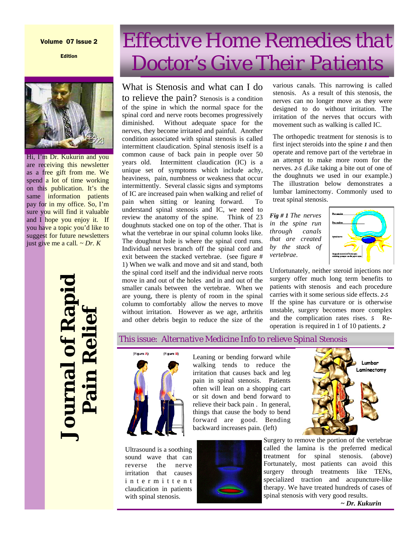#### Volume 07 Issue 2

Edition



Hi, I'm Dr. Kukurin and you Hi, I'm Dr. Kukurin and you are receiving this newsletter as a free gift from me. We spend a lot of time working on this publication. It's the same information patients pay for in my office. So, I'm sure you will find it valuable and I hope you enjoy it. If you have a topic you'd like to suggest for future newsletters just give me a call. ~ *Dr. K* spend a lot of time working

# **Journal of Rapid purnal of Rap Pain Relief**

# *Effective Home Remedies that Doctor's Give Their Patients*

## What is Stenosis and what can I do

to relieve the pain? Stenosis is a condition of the spine in which the normal space for the spinal cord and nerve roots becomes progressively diminished. Without adequate space for the nerves, they become irritated and painful. Another condition associated with spinal stenosis is called intermittent claudication. Spinal stenosis itself is a common cause of back pain in people over 50 years old. Intermittent claudication (IC) is a unique set of symptoms which include achy, heaviness, pain, numbness or weakness that occur intermittently. Several classic signs and symptoms of IC are increased pain when walking and relief of pain when sitting or leaning forward. To understand spinal stenosis and IC, we need to review the anatomy of the spine. Think of 23 doughnuts stacked one on top of the other. That is what the vertebrae in our spinal column looks like. The doughnut hole is where the spinal cord runs. Individual nerves branch off the spinal cord and exit between the stacked vertebrae. (see figure # 1) When we walk and move and sit and stand, both the spinal cord itself and the individual nerve roots move in and out of the holes and in and out of the smaller canals between the vertebrae. When we are young, there is plenty of room in the spinal column to comfortably allow the nerves to move without irritation. However as we age, arthritis and other debris begin to reduce the size of the

various canals. This narrowing is called stenosis. As a result of this stenosis, the nerves can no longer move as they were designed to do without irritation. The irritation of the nerves that occurs with movement such as walking is called IC.

The orthopedic treatment for stenosis is to first inject steroids into the spine *1* and then operate and remove part of the vertebrae in an attempt to make more room for the nerves. *2-5 (*Like taking a bite out of one of the doughnuts we used in our example.) The illustration below demonstrates a lumbar laminectomy. Commonly used to treat spinal stenosis.

*Fig # 1 The nerves in the spine run through canals that are created by the stack of vertebrae*.



Lumbar Laminectomy

Unfortunately, neither steroid injections nor surgery offer much long term benefits to patients with stenosis and each procedure carries with it some serious side effects. *2-5* If the spine has curvature or is otherwise unstable, surgery becomes more complex and the complication rates rises. *5* Reoperation is required in 1 of 10 patients. *2*

#### This issue: *Alternative Medicine Info to relieve Spinal Stenosis*



Ultrasound is a soothing sound wave that can reverse the nerve irritation that causes i n t e r m i t t e n t claudication in patients with spinal stenosis.

Leaning or bending forward while walking tends to reduce the irritation that causes back and leg pain in spinal stenosis. Patients often will lean on a shopping cart or sit down and bend forward to relieve their back pain . In general, things that cause the body to bend forward are good. Bending backward increases pain. (left)



Surgery to remove the portion of the vertebrae called the lamina is the preferred medical treatment for spinal stenosis. (above) Fortunately, most patients can avoid this surgery through treatments like TENs, specialized traction and acupuncture-like therapy. We have treated hundreds of cases of spinal stenosis with very good results.

 *~ Dr. Kukurin*